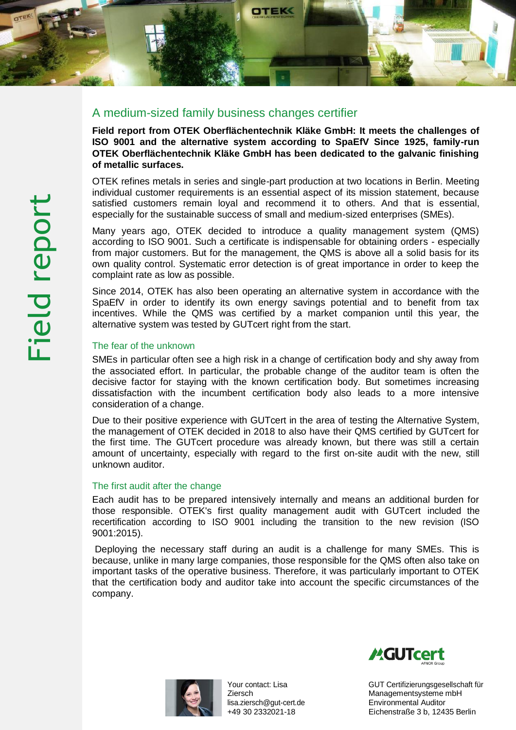

## A medium-sized family business changes certifier

**Field report from OTEK Oberflächentechnik Kläke GmbH: It meets the challenges of ISO 9001 and the alternative system according to SpaEfV Since 1925, family-run OTEK Oberflächentechnik Kläke GmbH has been dedicated to the galvanic finishing of metallic surfaces.**

OTEK refines metals in series and single-part production at two locations in Berlin. Meeting individual customer requirements is an essential aspect of its mission statement, because satisfied customers remain loyal and recommend it to others. And that is essential, especially for the sustainable success of small and medium-sized enterprises (SMEs).

Many years ago, OTEK decided to introduce a quality management system (QMS) according to ISO 9001. Such a certificate is indispensable for obtaining orders - especially from major customers. But for the management, the QMS is above all a solid basis for its own quality control. Systematic error detection is of great importance in order to keep the complaint rate as low as possible.

Since 2014, OTEK has also been operating an alternative system in accordance with the SpaEfV in order to identify its own energy savings potential and to benefit from tax incentives. While the QMS was certified by a market companion until this year, the alternative system was tested by GUTcert right from the start.

## The fear of the unknown

SMEs in particular often see a high risk in a change of certification body and shy away from the associated effort. In particular, the probable change of the auditor team is often the decisive factor for staying with the known certification body. But sometimes increasing dissatisfaction with the incumbent certification body also leads to a more intensive consideration of a change.

Due to their positive experience with GUTcert in the area of testing the Alternative System, the management of OTEK decided in 2018 to also have their QMS certified by GUTcert for the first time. The GUTcert procedure was already known, but there was still a certain amount of uncertainty, especially with regard to the first on-site audit with the new, still unknown auditor.

## The first audit after the change

Each audit has to be prepared intensively internally and means an additional burden for those responsible. OTEK's first quality management audit with GUTcert included the recertification according to ISO 9001 including the transition to the new revision (ISO 9001:2015).

Deploying the necessary staff during an audit is a challenge for many SMEs. This is because, unlike in many large companies, those responsible for the QMS often also take on important tasks of the operative business. Therefore, it was particularly important to OTEK that the certification body and auditor take into account the specific circumstances of the company.



Your contact: Lisa Ziersch [lisa.ziersch@gut-cert.de](mailto:lisa.ziersch@gut-cert.de) +49 30 2332021-18



GUT Certifizierungsgesellschaft für Managementsysteme mbH Environmental Auditor Eichenstraße 3 b, 12435 Berlin